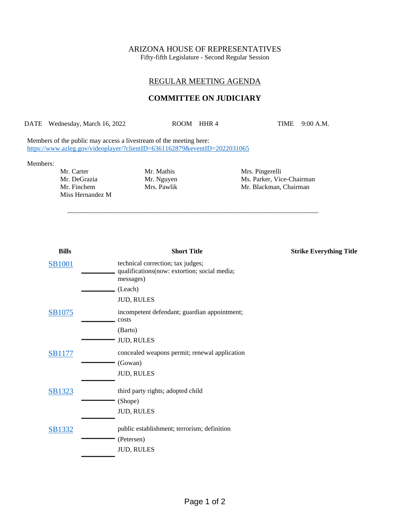# ARIZONA HOUSE OF REPRESENTATIVES

Fifty-fifth Legislature - Second Regular Session

## REGULAR MEETING AGENDA

### **COMMITTEE ON JUDICIARY**

DATE Wednesday, March 16, 2022 ROOM HHR 4 TIME 9:00 A.M.

\_\_\_\_\_\_\_\_\_\_\_\_\_\_\_\_\_\_\_\_\_\_\_\_\_\_\_\_\_\_\_\_\_\_\_\_\_\_\_\_\_\_\_\_\_\_\_\_\_\_\_\_\_\_\_\_\_\_\_\_\_\_\_\_\_\_\_\_\_\_\_\_\_\_\_

Members of the public may access a livestream of the meeting here: <https://www.azleg.gov/videoplayer/?clientID=6361162879&eventID=2022031065>

#### Members:

Mr. Carter Mr. Mathis Mrs. Pingerelli Miss Hernandez M

Mr. DeGrazia Mr. Nguyen Ms. Parker, Vice-Chairman Mr. Finchem Mrs. Pawlik Mr. Blackman, Chairman

| <b>Bills</b>  | <b>Short Title</b>                                                                             | <b>Strike Everything Title</b> |
|---------------|------------------------------------------------------------------------------------------------|--------------------------------|
| <b>SB1001</b> | technical correction; tax judges;<br>qualifications(now: extortion; social media;<br>messages) |                                |
|               | (Leach)                                                                                        |                                |
|               | <b>JUD, RULES</b>                                                                              |                                |
| SB1075        | incompetent defendant; guardian appointment;<br>costs                                          |                                |
|               | (Barto)                                                                                        |                                |
|               | <b>JUD, RULES</b>                                                                              |                                |
| <b>SB1177</b> | concealed weapons permit; renewal application                                                  |                                |
|               | (Gowan)                                                                                        |                                |
|               | <b>JUD, RULES</b>                                                                              |                                |
| SB1323        | third party rights; adopted child                                                              |                                |
|               | (Shope)                                                                                        |                                |
|               | <b>JUD, RULES</b>                                                                              |                                |
| SB1332        | public establishment; terrorism; definition                                                    |                                |
|               | (Petersen)                                                                                     |                                |
|               | <b>JUD, RULES</b>                                                                              |                                |
|               |                                                                                                |                                |